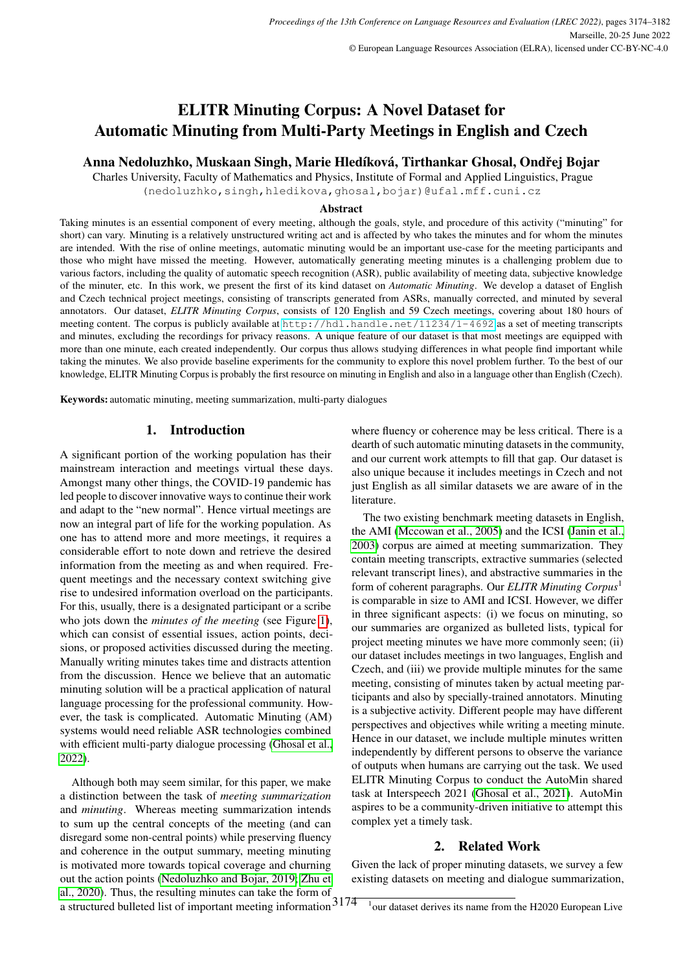# ELITR Minuting Corpus: A Novel Dataset for Automatic Minuting from Multi-Party Meetings in English and Czech

# Anna Nedoluzhko, Muskaan Singh, Marie Hledíková, Tirthankar Ghosal, Ondrej Bojar ˇ

Charles University, Faculty of Mathematics and Physics, Institute of Formal and Applied Linguistics, Prague

(nedoluzhko,singh,hledikova,ghosal,bojar)@ufal.mff.cuni.cz

#### Abstract

Taking minutes is an essential component of every meeting, although the goals, style, and procedure of this activity ("minuting" for short) can vary. Minuting is a relatively unstructured writing act and is affected by who takes the minutes and for whom the minutes are intended. With the rise of online meetings, automatic minuting would be an important use-case for the meeting participants and those who might have missed the meeting. However, automatically generating meeting minutes is a challenging problem due to various factors, including the quality of automatic speech recognition (ASR), public availability of meeting data, subjective knowledge of the minuter, etc. In this work, we present the first of its kind dataset on *Automatic Minuting*. We develop a dataset of English and Czech technical project meetings, consisting of transcripts generated from ASRs, manually corrected, and minuted by several annotators. Our dataset, *ELITR Minuting Corpus*, consists of 120 English and 59 Czech meetings, covering about 180 hours of meeting content. The corpus is publicly available at <http://hdl.handle.net/11234/1-4692> as a set of meeting transcripts and minutes, excluding the recordings for privacy reasons. A unique feature of our dataset is that most meetings are equipped with more than one minute, each created independently. Our corpus thus allows studying differences in what people find important while taking the minutes. We also provide baseline experiments for the community to explore this novel problem further. To the best of our knowledge, ELITR Minuting Corpus is probably the first resource on minuting in English and also in a language other than English (Czech).

Keywords: automatic minuting, meeting summarization, multi-party dialogues

## 1. Introduction

A significant portion of the working population has their mainstream interaction and meetings virtual these days. Amongst many other things, the COVID-19 pandemic has led people to discover innovative ways to continue their work and adapt to the "new normal". Hence virtual meetings are now an integral part of life for the working population. As one has to attend more and more meetings, it requires a considerable effort to note down and retrieve the desired information from the meeting as and when required. Frequent meetings and the necessary context switching give rise to undesired information overload on the participants. For this, usually, there is a designated participant or a scribe who jots down the *minutes of the meeting* (see Figure [1\)](#page-1-0), which can consist of essential issues, action points, decisions, or proposed activities discussed during the meeting. Manually writing minutes takes time and distracts attention from the discussion. Hence we believe that an automatic minuting solution will be a practical application of natural language processing for the professional community. However, the task is complicated. Automatic Minuting (AM) systems would need reliable ASR technologies combined with efficient multi-party dialogue processing [\(Ghosal et al.,](#page-7-0) [2022\)](#page-7-0).

a structured bulleted list of important meeting information 3174 Although both may seem similar, for this paper, we make a distinction between the task of *meeting summarization* and *minuting*. Whereas meeting summarization intends to sum up the central concepts of the meeting (and can disregard some non-central points) while preserving fluency and coherence in the output summary, meeting minuting is motivated more towards topical coverage and churning out the action points [\(Nedoluzhko and Bojar, 2019;](#page-8-0) [Zhu et](#page-8-1) [al., 2020\)](#page-8-1). Thus, the resulting minutes can take the form of

where fluency or coherence may be less critical. There is a dearth of such automatic minuting datasets in the community, and our current work attempts to fill that gap. Our dataset is also unique because it includes meetings in Czech and not just English as all similar datasets we are aware of in the literature.

The two existing benchmark meeting datasets in English, the AMI [\(Mccowan et al., 2005\)](#page-8-2) and the ICSI [\(Janin et al.,](#page-7-1) [2003\)](#page-7-1) corpus are aimed at meeting summarization. They contain meeting transcripts, extractive summaries (selected relevant transcript lines), and abstractive summaries in the form of coherent paragraphs. Our *ELITR Minuting Corpus*<sup>1</sup> is comparable in size to AMI and ICSI. However, we differ in three significant aspects: (i) we focus on minuting, so our summaries are organized as bulleted lists, typical for project meeting minutes we have more commonly seen; (ii) our dataset includes meetings in two languages, English and Czech, and (iii) we provide multiple minutes for the same meeting, consisting of minutes taken by actual meeting participants and also by specially-trained annotators. Minuting is a subjective activity. Different people may have different perspectives and objectives while writing a meeting minute. Hence in our dataset, we include multiple minutes written independently by different persons to observe the variance of outputs when humans are carrying out the task. We used ELITR Minuting Corpus to conduct the AutoMin shared task at Interspeech 2021 [\(Ghosal et al., 2021\)](#page-7-2). AutoMin aspires to be a community-driven initiative to attempt this complex yet a timely task.

# 2. Related Work

Given the lack of proper minuting datasets, we survey a few existing datasets on meeting and dialogue summarization,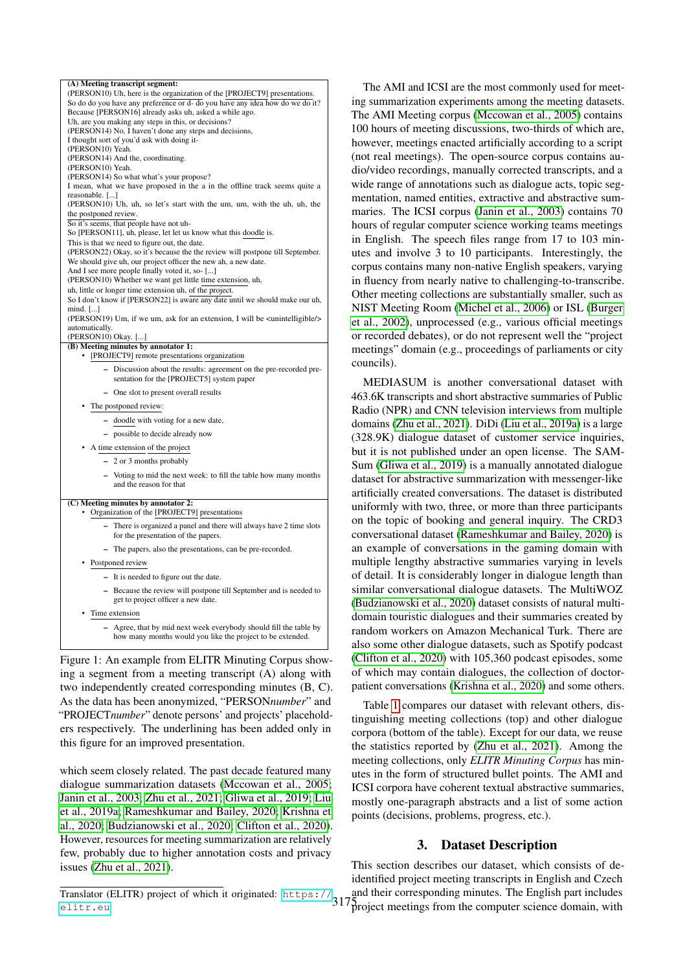<span id="page-1-0"></span>

|                       | (A) Meeting transcript segment:                                                                               |
|-----------------------|---------------------------------------------------------------------------------------------------------------|
|                       | (PERSON10) Uh, here is the organization of the [PROJECT9] presentations.                                      |
|                       | So do do you have any preference or d- do you have any idea how do we do it?                                  |
|                       | Because [PERSON16] already asks uh, asked a while ago.                                                        |
|                       | Uh, are you making any steps in this, or decisions?<br>(PERSON14) No, I haven't done any steps and decisions, |
|                       | I thought sort of you'd ask with doing it-                                                                    |
| (PERSON10) Yeah.      |                                                                                                               |
|                       | (PERSON14) And the, coordinating.                                                                             |
| (PERSON10) Yeah.      |                                                                                                               |
|                       | (PERSON14) So what what's your propose?                                                                       |
| reasonable. []        | I mean, what we have proposed in the a in the offline track seems quite a                                     |
|                       | (PERSON10) Uh, uh, so let's start with the um, um, with the uh, uh, the                                       |
| the postponed review. |                                                                                                               |
|                       | So it's seems, that people have not uh-                                                                       |
|                       | So [PERSON11], uh, please, let let us know what this doodle is.                                               |
|                       | This is that we need to figure out, the date.                                                                 |
|                       | (PERSON22) Okay, so it's because the the review will postpone till September.                                 |
|                       | We should give uh, our project officer the new ah, a new date.                                                |
|                       | And I see more people finally voted it, so-[]<br>(PERSON10) Whether we want get little time extension, uh,    |
|                       | uh, little or longer time extension uh, of the project.                                                       |
|                       | So I don't know if [PERSON22] is aware any date until we should make our uh,                                  |
| mind. []              |                                                                                                               |
|                       | (PERSON19) Um, if we um, ask for an extension, I will be <unintelligible></unintelligible>                    |
| automatically.        |                                                                                                               |
| (PERSON10) Okay. []   | (B) Meeting minutes by annotator 1:                                                                           |
|                       | [PROJECT9] remote presentations organization                                                                  |
|                       | - Discussion about the results: agreement on the pre-recorded pre-                                            |
|                       | sentation for the [PROJECT5] system paper                                                                     |
|                       | - One slot to present overall results                                                                         |
|                       | The postponed review:                                                                                         |
|                       | - doodle with voting for a new date,                                                                          |
|                       | - possible to decide already now                                                                              |
|                       | A time extension of the project                                                                               |
|                       | $-2$ or 3 months probably                                                                                     |
|                       | - Voting to mid the next week: to fill the table how many months                                              |
|                       | and the reason for that                                                                                       |
|                       | (C) Meeting minutes by annotator 2:                                                                           |
|                       | Organization of the [PROJECT9] presentations                                                                  |
|                       | - There is organized a panel and there will always have 2 time slots                                          |
|                       | for the presentation of the papers.                                                                           |
|                       | - The papers, also the presentations, can be pre-recorded.                                                    |
|                       | Postponed review                                                                                              |
|                       | - It is needed to figure out the date.                                                                        |
|                       | - Because the review will postpone till September and is needed to<br>get to project officer a new date.      |
|                       |                                                                                                               |
| Time extension        |                                                                                                               |
|                       | - Agree, that by mid next week everybody should fill the table by                                             |

ing a segment from a meeting transcript (A) along with two independently created corresponding minutes (B, C). As the data has been anonymized, "PERSON*number*" and "PROJECT*number*" denote persons' and projects' placeholders respectively. The underlining has been added only in this figure for an improved presentation.

which seem closely related. The past decade featured many dialogue summarization datasets [\(Mccowan et al., 2005;](#page-8-2) [Janin et al., 2003;](#page-7-1) [Zhu et al., 2021;](#page-8-3) [Gliwa et al., 2019;](#page-7-3) [Liu](#page-8-4) [et al., 2019a;](#page-8-4) [Rameshkumar and Bailey, 2020;](#page-8-5) [Krishna et](#page-7-4) [al., 2020;](#page-7-4) [Budzianowski et al., 2020;](#page-7-5) [Clifton et al., 2020\)](#page-7-6). However, resources for meeting summarization are relatively few, probably due to higher annotation costs and privacy issues [\(Zhu et al., 2021\)](#page-8-3).

The AMI and ICSI are the most commonly used for meeting summarization experiments among the meeting datasets. The AMI Meeting corpus [\(Mccowan et al., 2005\)](#page-8-2) contains 100 hours of meeting discussions, two-thirds of which are, however, meetings enacted artificially according to a script (not real meetings). The open-source corpus contains audio/video recordings, manually corrected transcripts, and a wide range of annotations such as dialogue acts, topic segmentation, named entities, extractive and abstractive summaries. The ICSI corpus [\(Janin et al., 2003\)](#page-7-1) contains 70 hours of regular computer science working teams meetings in English. The speech files range from 17 to 103 minutes and involve 3 to 10 participants. Interestingly, the corpus contains many non-native English speakers, varying in fluency from nearly native to challenging-to-transcribe. Other meeting collections are substantially smaller, such as NIST Meeting Room [\(Michel et al., 2006\)](#page-8-6) or ISL [\(Burger](#page-7-7) [et al., 2002\)](#page-7-7), unprocessed (e.g., various official meetings or recorded debates), or do not represent well the "project meetings" domain (e.g., proceedings of parliaments or city councils).

MEDIASUM is another conversational dataset with 463.6K transcripts and short abstractive summaries of Public Radio (NPR) and CNN television interviews from multiple domains [\(Zhu et al., 2021\)](#page-8-3). DiDi [\(Liu et al., 2019a\)](#page-8-4) is a large (328.9K) dialogue dataset of customer service inquiries, but it is not published under an open license. The SAM-Sum [\(Gliwa et al., 2019\)](#page-7-3) is a manually annotated dialogue dataset for abstractive summarization with messenger-like artificially created conversations. The dataset is distributed uniformly with two, three, or more than three participants on the topic of booking and general inquiry. The CRD3 conversational dataset [\(Rameshkumar and Bailey, 2020\)](#page-8-5) is an example of conversations in the gaming domain with multiple lengthy abstractive summaries varying in levels of detail. It is considerably longer in dialogue length than similar conversational dialogue datasets. The MultiWOZ [\(Budzianowski et al., 2020\)](#page-7-5) dataset consists of natural multidomain touristic dialogues and their summaries created by random workers on Amazon Mechanical Turk. There are also some other dialogue datasets, such as Spotify podcast [\(Clifton et al., 2020\)](#page-7-6) with 105,360 podcast episodes, some of which may contain dialogues, the collection of doctorpatient conversations [\(Krishna et al., 2020\)](#page-7-4) and some others.

Table [1](#page-2-0) compares our dataset with relevant others, distinguishing meeting collections (top) and other dialogue corpora (bottom of the table). Except for our data, we reuse the statistics reported by [\(Zhu et al., 2021\)](#page-8-3). Among the meeting collections, only *ELITR Minuting Corpus* has minutes in the form of structured bullet points. The AMI and ICSI corpora have coherent textual abstractive summaries, mostly one-paragraph abstracts and a list of some action points (decisions, problems, progress, etc.).

## 3. Dataset Description

This section describes our dataset, which consists of deidentified project meeting transcripts in English and Czech and their corresponding minutes. The English part includes project meetings from the computer science domain, with

Translator (ELITR) project of which it originated: [https://](https://elitr.eu)3175 [elitr.eu](https://elitr.eu)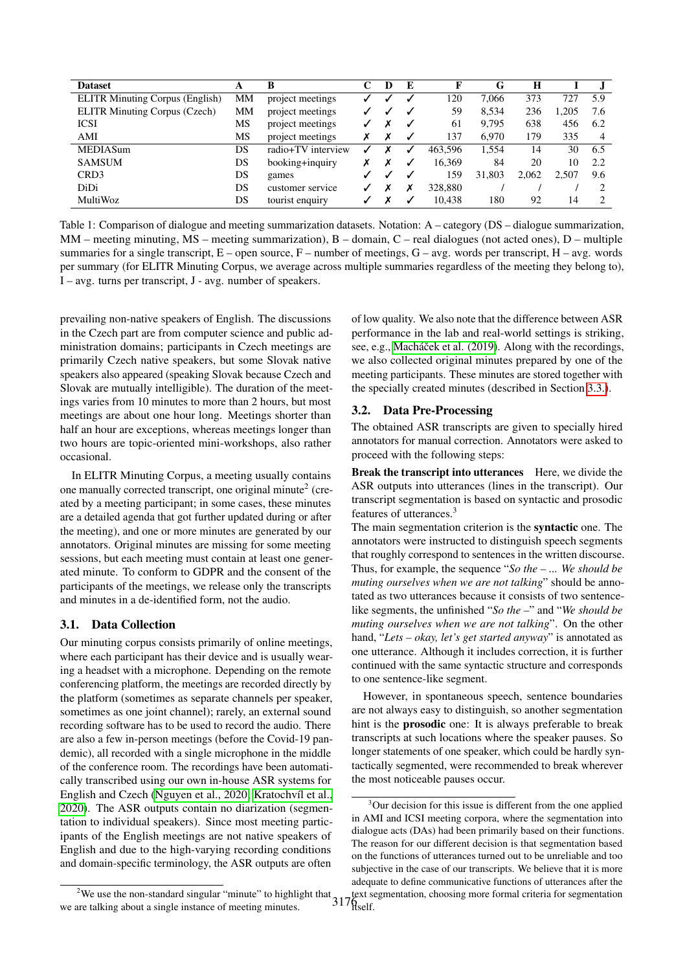<span id="page-2-0"></span>

| <b>Dataset</b>                         | A  | B                  |   | D | E |         | G      | Н     |       |     |
|----------------------------------------|----|--------------------|---|---|---|---------|--------|-------|-------|-----|
| <b>ELITR Minuting Corpus (English)</b> | MМ | project meetings   |   |   |   | 120     | 7,066  | 373   | 727   | 5.9 |
| ELITR Minuting Corpus (Czech)          | MM | project meetings   | ✓ |   |   | 59      | 8,534  | 236   | .,205 | 7.6 |
| <b>ICSI</b>                            | MS | project meetings   |   |   |   | 61      | 9,795  | 638   | 456   | 6.2 |
| AMI                                    | MS | project meetings   | х |   |   | 137     | 6,970  | 179   | 335   | 4   |
| <b>MEDIASum</b>                        | DS | radio+TV interview |   |   |   | 463,596 | 1,554  | 14    | 30    | 6.5 |
| <b>SAMSUM</b>                          | DS | booking+inquiry    |   |   |   | 16,369  | 84     | 20    | 10    | 2.2 |
| CRD <sub>3</sub>                       | DS | games              |   |   |   | 159     | 31,803 | 2,062 | 2,507 | 9.6 |
| DiDi                                   | DS | customer service   |   |   | х | 328,880 |        |       |       | ∍   |
| MultiWoz                               | DS | tourist enquiry    |   |   | ↵ | 10.438  | 180    | 92    | 14    | 2   |

Table 1: Comparison of dialogue and meeting summarization datasets. Notation: A – category (DS – dialogue summarization,  $MM$  – meeting minuting,  $MS$  – meeting summarization),  $B$  – domain,  $C$  – real dialogues (not acted ones),  $D$  – multiple summaries for a single transcript,  $E$  – open source,  $F$  – number of meetings,  $G$  – avg. words per transcript,  $H$  – avg. words per summary (for ELITR Minuting Corpus, we average across multiple summaries regardless of the meeting they belong to),  $I - avg$ . turns per transcript,  $J - avg$ . number of speakers.

prevailing non-native speakers of English. The discussions in the Czech part are from computer science and public administration domains; participants in Czech meetings are primarily Czech native speakers, but some Slovak native speakers also appeared (speaking Slovak because Czech and Slovak are mutually intelligible). The duration of the meetings varies from 10 minutes to more than 2 hours, but most meetings are about one hour long. Meetings shorter than half an hour are exceptions, whereas meetings longer than two hours are topic-oriented mini-workshops, also rather occasional.

In ELITR Minuting Corpus, a meeting usually contains one manually corrected transcript, one original minute<sup>2</sup> (created by a meeting participant; in some cases, these minutes are a detailed agenda that got further updated during or after the meeting), and one or more minutes are generated by our annotators. Original minutes are missing for some meeting sessions, but each meeting must contain at least one generated minute. To conform to GDPR and the consent of the participants of the meetings, we release only the transcripts and minutes in a de-identified form, not the audio.

# 3.1. Data Collection

Our minuting corpus consists primarily of online meetings, where each participant has their device and is usually wearing a headset with a microphone. Depending on the remote conferencing platform, the meetings are recorded directly by the platform (sometimes as separate channels per speaker, sometimes as one joint channel); rarely, an external sound recording software has to be used to record the audio. There are also a few in-person meetings (before the Covid-19 pandemic), all recorded with a single microphone in the middle of the conference room. The recordings have been automatically transcribed using our own in-house ASR systems for English and Czech [\(Nguyen et al., 2020;](#page-8-7) [Kratochvíl et al.,](#page-7-8) [2020\)](#page-7-8). The ASR outputs contain no diarization (segmentation to individual speakers). Since most meeting participants of the English meetings are not native speakers of English and due to the high-varying recording conditions and domain-specific terminology, the ASR outputs are often

of low quality. We also note that the difference between ASR performance in the lab and real-world settings is striking, see, e.g., Macháček et al. (2019). Along with the recordings, we also collected original minutes prepared by one of the meeting participants. These minutes are stored together with the specially created minutes (described in Section [3.3.\)](#page-3-0).

## 3.2. Data Pre-Processing

The obtained ASR transcripts are given to specially hired annotators for manual correction. Annotators were asked to proceed with the following steps:

Break the transcript into utterances Here, we divide the ASR outputs into utterances (lines in the transcript). Our transcript segmentation is based on syntactic and prosodic features of utterances.<sup>3</sup>

The main segmentation criterion is the syntactic one. The annotators were instructed to distinguish speech segments that roughly correspond to sentences in the written discourse. Thus, for example, the sequence "*So the – ... We should be muting ourselves when we are not talking*" should be annotated as two utterances because it consists of two sentencelike segments, the unfinished "*So the –*" and "*We should be muting ourselves when we are not talking*". On the other hand, "*Lets – okay, let's get started anyway*" is annotated as one utterance. Although it includes correction, it is further continued with the same syntactic structure and corresponds to one sentence-like segment.

However, in spontaneous speech, sentence boundaries are not always easy to distinguish, so another segmentation hint is the prosodic one: It is always preferable to break transcripts at such locations where the speaker pauses. So longer statements of one speaker, which could be hardly syntactically segmented, were recommended to break wherever the most noticeable pauses occur.

<sup>&</sup>lt;sup>3</sup>Our decision for this issue is different from the one applied in AMI and ICSI meeting corpora, where the segmentation into dialogue acts (DAs) had been primarily based on their functions. The reason for our different decision is that segmentation based on the functions of utterances turned out to be unreliable and too subjective in the case of our transcripts. We believe that it is more adequate to define communicative functions of utterances after the text segmentation, choosing more formal criteria for segmentation

<sup>&</sup>lt;sup>2</sup>We use the non-standard singular "minute" to highlight that  $317\frac{\text{t}}{\text{M}}$ we are talking about a single instance of meeting minutes.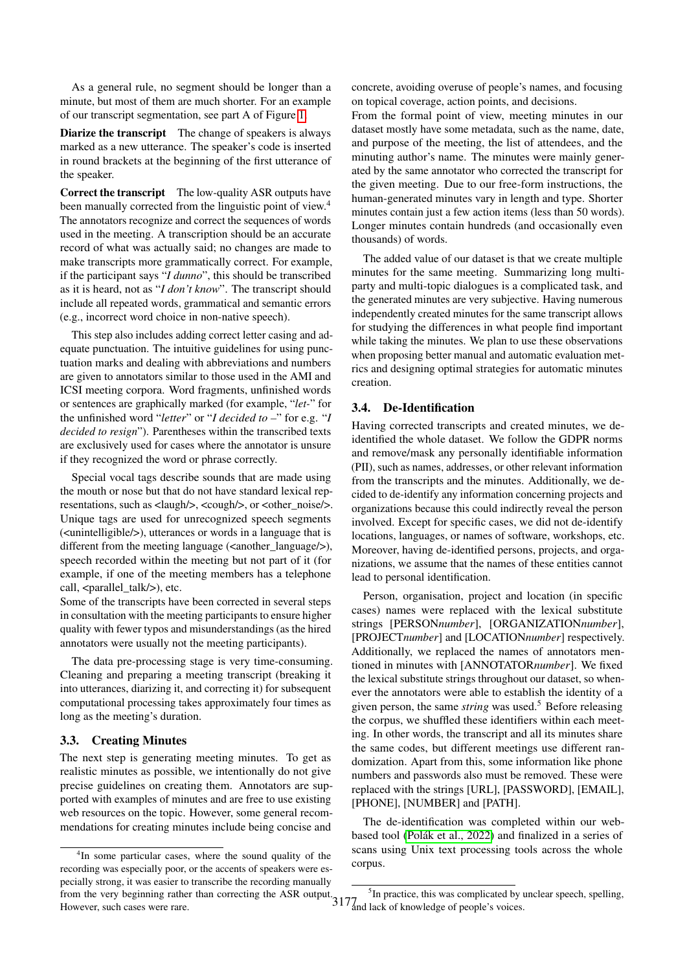As a general rule, no segment should be longer than a minute, but most of them are much shorter. For an example of our transcript segmentation, see part A of Figure [1.](#page-1-0)

Diarize the transcript The change of speakers is always marked as a new utterance. The speaker's code is inserted in round brackets at the beginning of the first utterance of the speaker.

Correct the transcript The low-quality ASR outputs have been manually corrected from the linguistic point of view.<sup>4</sup> The annotators recognize and correct the sequences of words used in the meeting. A transcription should be an accurate record of what was actually said; no changes are made to make transcripts more grammatically correct. For example, if the participant says "*I dunno*", this should be transcribed as it is heard, not as "*I don't know*". The transcript should include all repeated words, grammatical and semantic errors (e.g., incorrect word choice in non-native speech).

This step also includes adding correct letter casing and adequate punctuation. The intuitive guidelines for using punctuation marks and dealing with abbreviations and numbers are given to annotators similar to those used in the AMI and ICSI meeting corpora. Word fragments, unfinished words or sentences are graphically marked (for example, "*let-*" for the unfinished word "*letter*" or "*I decided to –*" for e.g. "*I decided to resign*"). Parentheses within the transcribed texts are exclusively used for cases where the annotator is unsure if they recognized the word or phrase correctly.

Special vocal tags describe sounds that are made using the mouth or nose but that do not have standard lexical representations, such as <laugh/>, <cough/>, or <other noise/>. Unique tags are used for unrecognized speech segments (<unintelligible/>), utterances or words in a language that is different from the meeting language (<another\_language/>), speech recorded within the meeting but not part of it (for example, if one of the meeting members has a telephone call,  $\langle$  parallel talk $\langle$  $\rangle$ ), etc.

Some of the transcripts have been corrected in several steps in consultation with the meeting participants to ensure higher quality with fewer typos and misunderstandings (as the hired annotators were usually not the meeting participants).

The data pre-processing stage is very time-consuming. Cleaning and preparing a meeting transcript (breaking it into utterances, diarizing it, and correcting it) for subsequent computational processing takes approximately four times as long as the meeting's duration.

#### <span id="page-3-0"></span>3.3. Creating Minutes

The next step is generating meeting minutes. To get as realistic minutes as possible, we intentionally do not give precise guidelines on creating them. Annotators are supported with examples of minutes and are free to use existing web resources on the topic. However, some general recommendations for creating minutes include being concise and concrete, avoiding overuse of people's names, and focusing on topical coverage, action points, and decisions.

From the formal point of view, meeting minutes in our dataset mostly have some metadata, such as the name, date, and purpose of the meeting, the list of attendees, and the minuting author's name. The minutes were mainly generated by the same annotator who corrected the transcript for the given meeting. Due to our free-form instructions, the human-generated minutes vary in length and type. Shorter minutes contain just a few action items (less than 50 words). Longer minutes contain hundreds (and occasionally even thousands) of words.

The added value of our dataset is that we create multiple minutes for the same meeting. Summarizing long multiparty and multi-topic dialogues is a complicated task, and the generated minutes are very subjective. Having numerous independently created minutes for the same transcript allows for studying the differences in what people find important while taking the minutes. We plan to use these observations when proposing better manual and automatic evaluation metrics and designing optimal strategies for automatic minutes creation.

#### 3.4. De-Identification

Having corrected transcripts and created minutes, we deidentified the whole dataset. We follow the GDPR norms and remove/mask any personally identifiable information (PII), such as names, addresses, or other relevant information from the transcripts and the minutes. Additionally, we decided to de-identify any information concerning projects and organizations because this could indirectly reveal the person involved. Except for specific cases, we did not de-identify locations, languages, or names of software, workshops, etc. Moreover, having de-identified persons, projects, and organizations, we assume that the names of these entities cannot lead to personal identification.

Person, organisation, project and location (in specific cases) names were replaced with the lexical substitute strings [PERSON*number*], [ORGANIZATION*number*], [PROJECT*number*] and [LOCATION*number*] respectively. Additionally, we replaced the names of annotators mentioned in minutes with [ANNOTATOR*number*]. We fixed the lexical substitute strings throughout our dataset, so whenever the annotators were able to establish the identity of a given person, the same *string* was used.<sup>5</sup> Before releasing the corpus, we shuffled these identifiers within each meeting. In other words, the transcript and all its minutes share the same codes, but different meetings use different randomization. Apart from this, some information like phone numbers and passwords also must be removed. These were replaced with the strings [URL], [PASSWORD], [EMAIL], [PHONE], [NUMBER] and [PATH].

The de-identification was completed within our webbased tool [\(Polák et al., 2022\)](#page-8-9) and finalized in a series of scans using Unix text processing tools across the whole corpus.

<sup>&</sup>lt;sup>4</sup>In some particular cases, where the sound quality of the recording was especially poor, or the accents of speakers were especially strong, it was easier to transcribe the recording manually from the very beginning rather than correcting the ASR output. However, such cases were rare.

<sup>3177</sup> 5  ${}^{5}$ In practice, this was complicated by unclear speech, spelling, and lack of knowledge of people's voices.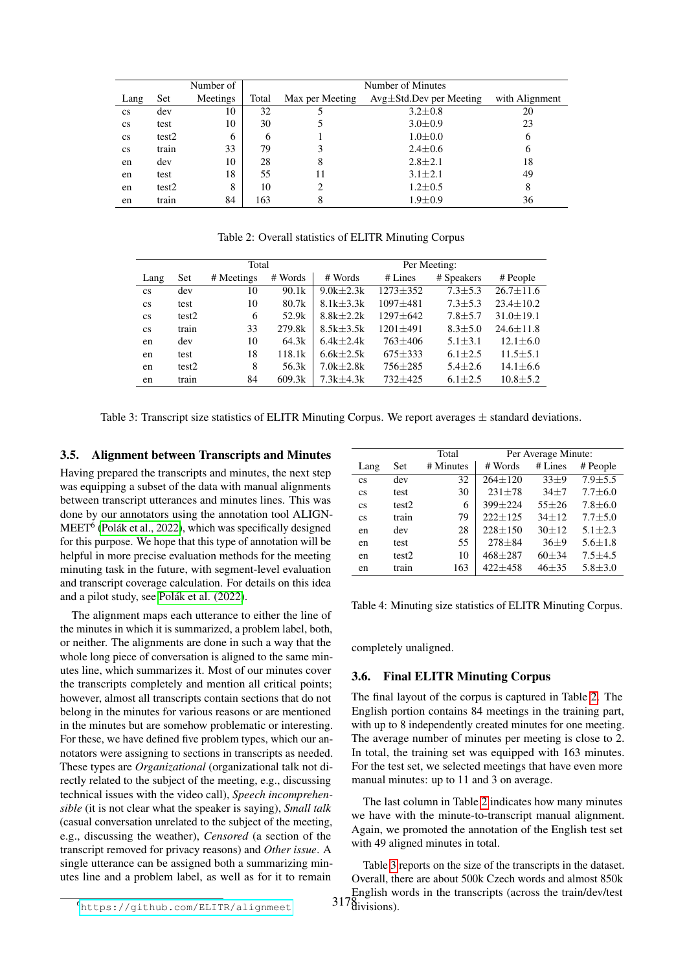<span id="page-4-0"></span>

|                        |                   | Number of | Number of Minutes |                 |                                |                |
|------------------------|-------------------|-----------|-------------------|-----------------|--------------------------------|----------------|
| Lang                   | <b>Set</b>        | Meetings  | Total             | Max per Meeting | $Avg\pm Std$ . Dev per Meeting | with Alignment |
| $\mathbf{c}\mathbf{s}$ | dev               | 10        | 32                | 5               | $3.2 \pm 0.8$                  | 20             |
| $\mathbf{c}\mathbf{s}$ | test              | 10        | 30                |                 | $3.0 \pm 0.9$                  | 23             |
| $\mathbf{c}\mathbf{s}$ | test <sub>2</sub> | 6         | 6                 |                 | $1.0 \pm 0.0$                  | 6              |
| $\mathbf{c}\mathbf{s}$ | train             | 33        | 79                | 3               | $2.4 \pm 0.6$                  | 6              |
| en                     | dev               | 10        | 28                | 8               | $2.8 \pm 2.1$                  | 18             |
| en                     | test              | 18        | 55                | 11              | $3.1 \pm 2.1$                  | 49             |
| en                     | test <sub>2</sub> | 8         | 10                | $\mathfrak{D}$  | $1.2 \pm 0.5$                  | 8              |
| en                     | train             | 84        | 163               | 8               | $1.9 \pm 0.9$                  | 36             |

Table 2: Overall statistics of ELITR Minuting Corpus

<span id="page-4-1"></span>

|                        | Total             |            |         |                 | Per Meeting:   |               |                 |  |  |  |
|------------------------|-------------------|------------|---------|-----------------|----------------|---------------|-----------------|--|--|--|
| Lang                   | Set               | # Meetings | # Words | # Words         | # Lines        | # Speakers    | # People        |  |  |  |
| $\mathbf{c}\mathbf{s}$ | dev               | 10         | 90.1k   | $9.0k + 2.3k$   | $1273 + 352$   | $7.3 \pm 5.3$ | $26.7 + 11.6$   |  |  |  |
| $\mathbf{c}\mathbf{s}$ | test              | 10         | 80.7k   | $8.1k \pm 3.3k$ | $1097 \pm 481$ | $7.3 \pm 5.3$ | $23.4 + 10.2$   |  |  |  |
| $\mathbf{c}\mathbf{s}$ | test <sub>2</sub> | 6          | 52.9k   | $8.8k + 2.2k$   | $1297 + 642$   | $7.8 + 5.7$   | $31.0 \pm 19.1$ |  |  |  |
| $\mathbf{c}\mathbf{s}$ | train             | 33         | 279.8k  | $8.5k \pm 3.5k$ | $1201 + 491$   | $8.3 \pm 5.0$ | $24.6 \pm 11.8$ |  |  |  |
| en                     | dev               | 10         | 64.3k   | $6.4k + 2.4k$   | $763 + 406$    | $5.1 \pm 3.1$ | $12.1 + 6.0$    |  |  |  |
| en                     | test              | 18         | 118.1k  | $6.6k + 2.5k$   | $675 \pm 333$  | $6.1 \pm 2.5$ | $11.5 \pm 5.1$  |  |  |  |
| en                     | test <sub>2</sub> | 8          | 56.3k   | $7.0k + 2.8k$   | $756 + 285$    | $5.4 + 2.6$   | $14.1 \pm 6.6$  |  |  |  |
| en                     | train             | 84         | 609.3k  | $7.3k \pm 4.3k$ | $732 + 425$    | $6.1 + 2.5$   | $10.8 \pm 5.2$  |  |  |  |

Table 3: Transcript size statistics of ELITR Minuting Corpus. We report averages  $\pm$  standard deviations.

#### 3.5. Alignment between Transcripts and Minutes

Having prepared the transcripts and minutes, the next step was equipping a subset of the data with manual alignments between transcript utterances and minutes lines. This was done by our annotators using the annotation tool ALIGN-MEET<sup>6</sup> [\(Polák et al., 2022\)](#page-8-9), which was specifically designed for this purpose. We hope that this type of annotation will be helpful in more precise evaluation methods for the meeting minuting task in the future, with segment-level evaluation and transcript coverage calculation. For details on this idea and a pilot study, see [Polák et al. \(2022\)](#page-8-9).

The alignment maps each utterance to either the line of the minutes in which it is summarized, a problem label, both, or neither. The alignments are done in such a way that the whole long piece of conversation is aligned to the same minutes line, which summarizes it. Most of our minutes cover the transcripts completely and mention all critical points; however, almost all transcripts contain sections that do not belong in the minutes for various reasons or are mentioned in the minutes but are somehow problematic or interesting. For these, we have defined five problem types, which our annotators were assigning to sections in transcripts as needed. These types are *Organizational* (organizational talk not directly related to the subject of the meeting, e.g., discussing technical issues with the video call), *Speech incomprehensible* (it is not clear what the speaker is saying), *Small talk* (casual conversation unrelated to the subject of the meeting, e.g., discussing the weather), *Censored* (a section of the transcript removed for privacy reasons) and *Other issue*. A single utterance can be assigned both a summarizing minutes line and a problem label, as well as for it to remain

<span id="page-4-2"></span>

|           |                   | Total     | Per Average Minute: |           |               |
|-----------|-------------------|-----------|---------------------|-----------|---------------|
| Lang      | Set               | # Minutes | # Words             | # Lines   | # People      |
| <b>CS</b> | dev               | 32        | $264 \pm 120$       | $33\pm9$  | $7.9 + 5.5$   |
| <b>CS</b> | test              | 30        | $231 \pm 78$        | $34 + 7$  | $7.7 \pm 6.0$ |
| <b>CS</b> | test2             | 6         | 399±224             | $55 + 26$ | $7.8 \pm 6.0$ |
| <b>CS</b> | train             | 79        | $222 \pm 125$       | $34 + 12$ | $7.7 + 5.0$   |
| en        | dev               | 28        | $228 \pm 150$       | $30 + 12$ | $5.1 \pm 2.3$ |
| en        | test              | 55        | $278 + 84$          | $36 + 9$  | $5.6 \pm 1.8$ |
| en        | test <sub>2</sub> | 10        | $468 + 287$         | $60 + 34$ | $7.5 + 4.5$   |
| en        | train             | 163       | $422 + 458$         | $46 + 35$ | $5.8 \pm 3.0$ |

Table 4: Minuting size statistics of ELITR Minuting Corpus.

completely unaligned.

#### 3.6. Final ELITR Minuting Corpus

The final layout of the corpus is captured in Table [2.](#page-4-0) The English portion contains 84 meetings in the training part, with up to 8 independently created minutes for one meeting. The average number of minutes per meeting is close to 2. In total, the training set was equipped with 163 minutes. For the test set, we selected meetings that have even more manual minutes: up to 11 and 3 on average.

The last column in Table [2](#page-4-0) indicates how many minutes we have with the minute-to-transcript manual alignment. Again, we promoted the annotation of the English test set with 49 aligned minutes in total.

3178 English words in the transcripts (across the train/dev/test Table [3](#page-4-1) reports on the size of the transcripts in the dataset. Overall, there are about 500k Czech words and almost 850k divisions).

<sup>6</sup><https://github.com/ELITR/alignmeet>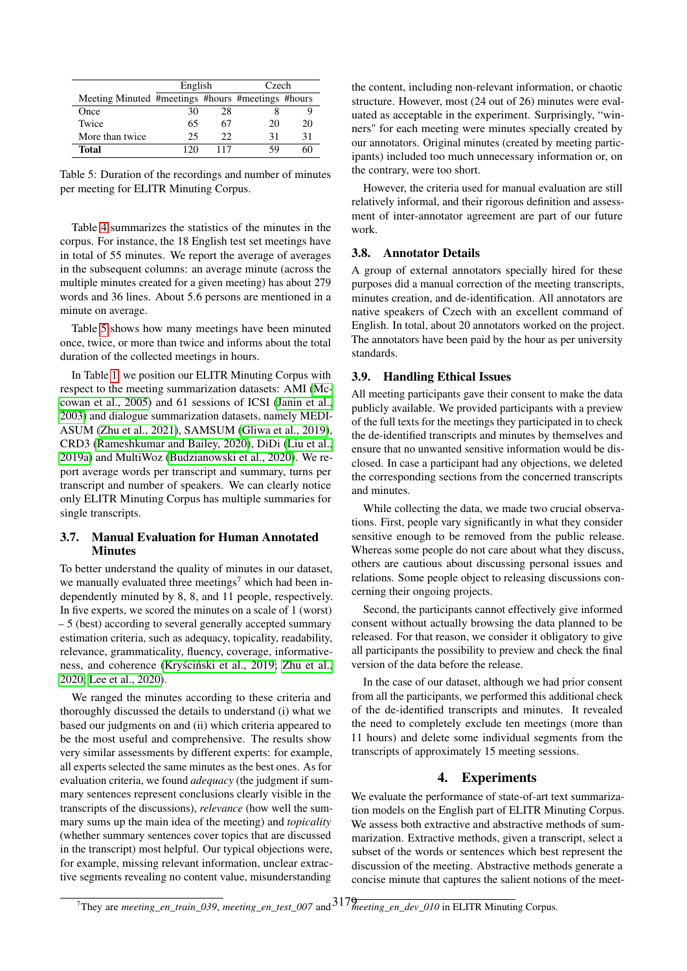<span id="page-5-0"></span>

|                                                   | English |     | Czech |    |  |
|---------------------------------------------------|---------|-----|-------|----|--|
| Meeting Minuted #meetings #hours #meetings #hours |         |     |       |    |  |
| Once                                              | 30.     | 28  |       |    |  |
| Twice                                             | 65      | 67  | 20    | 20 |  |
| More than twice                                   | 25      | 22  | 31    | 31 |  |
| Total                                             | 120     | 117 | 59    |    |  |

Table 5: Duration of the recordings and number of minutes per meeting for ELITR Minuting Corpus.

Table [4](#page-4-2) summarizes the statistics of the minutes in the corpus. For instance, the 18 English test set meetings have in total of 55 minutes. We report the average of averages in the subsequent columns: an average minute (across the multiple minutes created for a given meeting) has about 279 words and 36 lines. About 5.6 persons are mentioned in a minute on average.

Table [5](#page-5-0) shows how many meetings have been minuted once, twice, or more than twice and informs about the total duration of the collected meetings in hours.

In Table [1,](#page-2-0) we position our ELITR Minuting Corpus with respect to the meeting summarization datasets: AMI [\(Mc](#page-8-2)[cowan et al., 2005\)](#page-8-2) and 61 sessions of ICSI [\(Janin et al.,](#page-7-1) [2003\)](#page-7-1) and dialogue summarization datasets, namely MEDI-ASUM [\(Zhu et al., 2021\)](#page-8-3), SAMSUM [\(Gliwa et al., 2019\)](#page-7-3), CRD3 [\(Rameshkumar and Bailey, 2020\)](#page-8-5), DiDi [\(Liu et al.,](#page-8-4) [2019a\)](#page-8-4) and MultiWoz [\(Budzianowski et al., 2020\)](#page-7-5). We report average words per transcript and summary, turns per transcript and number of speakers. We can clearly notice only ELITR Minuting Corpus has multiple summaries for single transcripts.

## 3.7. Manual Evaluation for Human Annotated **Minutes**

To better understand the quality of minutes in our dataset, we manually evaluated three meetings<sup>7</sup> which had been independently minuted by 8, 8, and 11 people, respectively. In five experts, we scored the minutes on a scale of 1 (worst) – 5 (best) according to several generally accepted summary estimation criteria, such as adequacy, topicality, readability, relevance, grammaticality, fluency, coverage, informative-ness, and coherence (Kryściński et al., 2019; [Zhu et al.,](#page-8-1) [2020;](#page-8-1) [Lee et al., 2020\)](#page-7-10).

We ranged the minutes according to these criteria and thoroughly discussed the details to understand (i) what we based our judgments on and (ii) which criteria appeared to be the most useful and comprehensive. The results show very similar assessments by different experts: for example, all experts selected the same minutes as the best ones. As for evaluation criteria, we found *adequacy* (the judgment if summary sentences represent conclusions clearly visible in the transcripts of the discussions), *relevance* (how well the summary sums up the main idea of the meeting) and *topicality* (whether summary sentences cover topics that are discussed in the transcript) most helpful. Our typical objections were, for example, missing relevant information, unclear extractive segments revealing no content value, misunderstanding

the content, including non-relevant information, or chaotic structure. However, most (24 out of 26) minutes were evaluated as acceptable in the experiment. Surprisingly, "winners" for each meeting were minutes specially created by our annotators. Original minutes (created by meeting participants) included too much unnecessary information or, on the contrary, were too short.

However, the criteria used for manual evaluation are still relatively informal, and their rigorous definition and assessment of inter-annotator agreement are part of our future work.

## 3.8. Annotator Details

A group of external annotators specially hired for these purposes did a manual correction of the meeting transcripts, minutes creation, and de-identification. All annotators are native speakers of Czech with an excellent command of English. In total, about 20 annotators worked on the project. The annotators have been paid by the hour as per university standards.

## 3.9. Handling Ethical Issues

All meeting participants gave their consent to make the data publicly available. We provided participants with a preview of the full texts for the meetings they participated in to check the de-identified transcripts and minutes by themselves and ensure that no unwanted sensitive information would be disclosed. In case a participant had any objections, we deleted the corresponding sections from the concerned transcripts and minutes.

While collecting the data, we made two crucial observations. First, people vary significantly in what they consider sensitive enough to be removed from the public release. Whereas some people do not care about what they discuss, others are cautious about discussing personal issues and relations. Some people object to releasing discussions concerning their ongoing projects.

Second, the participants cannot effectively give informed consent without actually browsing the data planned to be released. For that reason, we consider it obligatory to give all participants the possibility to preview and check the final version of the data before the release.

In the case of our dataset, although we had prior consent from all the participants, we performed this additional check of the de-identified transcripts and minutes. It revealed the need to completely exclude ten meetings (more than 11 hours) and delete some individual segments from the transcripts of approximately 15 meeting sessions.

# 4. Experiments

We evaluate the performance of state-of-art text summarization models on the English part of ELITR Minuting Corpus. We assess both extractive and abstractive methods of summarization. Extractive methods, given a transcript, select a subset of the words or sentences which best represent the discussion of the meeting. Abstractive methods generate a concise minute that captures the salient notions of the meet-

<sup>&</sup>lt;sup>7</sup>They are *meeting\_en\_train\_039*, *meeting\_en\_test\_007* and  $3179$  *meeting\_en\_dev\_010* in ELITR Minuting Corpus.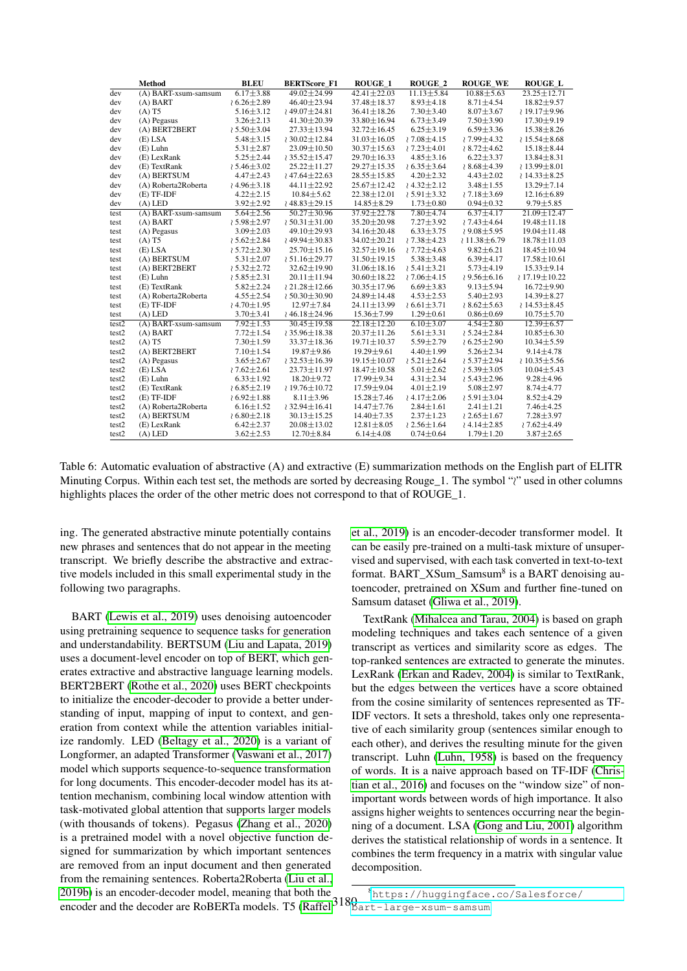<span id="page-6-0"></span>

|       | Method               | <b>BLEU</b>       | <b>BERTScore F1</b> | <b>ROUGE 1</b>    | <b>ROUGE 2</b>    | <b>ROUGE WE</b>  | <b>ROUGE L</b>    |
|-------|----------------------|-------------------|---------------------|-------------------|-------------------|------------------|-------------------|
| dev   | (A) BART-xsum-samsum | $6.17 \pm 3.88$   | $49.02 \pm 24.99$   | $42.41 \pm 22.03$ | $11.13 \pm 5.84$  | $10.88 + 5.63$   | $23.25 \pm 12.71$ |
| dev   | $(A)$ BART           | $(6.26 \pm 2.89)$ | 46.40 ± 23.94       | 37.48 ± 18.37     | $8.93 \pm 4.18$   | $8.71 \pm 4.54$  | 18.82±9.57        |
| dev   | $(A)$ T5             | $5.16 \pm 3.12$   | ₹49.07±24.81        | $36.41 \pm 18.26$ | $7.30 \pm 3.40$   | $8.07 \pm 3.67$  | ₹19.17±9.96       |
| dev   | (A) Pegasus          | $3.26 \pm 2.13$   | $41.30 \pm 20.39$   | 33.80 ± 16.94     | $6.73 \pm 3.49$   | $7.50 \pm 3.90$  | $17.30 \pm 9.19$  |
| dev   | (A) BERT2BERT        | $25.50 \pm 3.04$  | $27.33 \pm 13.94$   | $32.72 \pm 16.45$ | $6.25 \pm 3.19$   | $6.59 \pm 3.36$  | $15.38 \pm 8.26$  |
| dev   | $(E)$ LSA            | $5.48 \pm 3.15$   | $230.02 \pm 12.84$  | $31.03 \pm 16.05$ | $27.08 \pm 4.15$  | $17.99 \pm 4.32$ | $15.54 \pm 8.68$  |
| dev   | $(E)$ Luhn           | $5.31 \pm 2.87$   | $23.09 \pm 10.50$   | $30.37 \pm 15.63$ | $27.23 \pm 4.01$  | $28.72 \pm 4.62$ | $15.18 \pm 8.44$  |
| dev   | (E) LexRank          | $5.25 \pm 2.44$   | $235.52 \pm 15.47$  | 29.70 ± 16.33     | $4.85 \pm 3.16$   | $6.22 \pm 3.37$  | $13.84 \pm 8.31$  |
| dev   | (E) TextRank         | $25.46 \pm 3.02$  | $25.22 \pm 11.27$   | 29.27±15.35       | $26.35 \pm 3.64$  | $28.68 \pm 4.39$ | ₹13.99±8.01       |
| dev   | (A) BERTSUM          | $4.47 \pm 2.43$   | ₹47.64±22.63        | $28.55 \pm 15.85$ | $4.20 \pm 2.32$   | $4.43 \pm 2.02$  | $14.33 \pm 8.25$  |
| dev   | (A) Roberta2Roberta  | $14.96 \pm 3.18$  | 44.11±22.92         | $25.67 \pm 12.42$ | $24.32 \pm 2.12$  | $3.48 \pm 1.55$  | 13.29±7.14        |
| dev   | $(E)$ TF-IDF         | $4.22 \pm 2.15$   | $10.84 \pm 5.62$    | $22.38 \pm 12.01$ | $25.91 \pm 3.32$  | $27.18 \pm 3.69$ | $12.16 \pm 6.89$  |
| dev   | $(A)$ LED            | $3.92 \pm 2.92$   | ₹48.83±29.15        | $14.85 \pm 8.29$  | $1.73 \pm 0.80$   | $0.94 \pm 0.32$  | $9.79 \pm 5.85$   |
| test  | (A) BART-xsum-samsum | $5.64 \pm 2.56$   | $50.27 \pm 30.96$   | $37.92 \pm 22.78$ | $7.80 \pm 4.74$   | $6.37 \pm 4.17$  | $21.09 \pm 12.47$ |
| test  | $(A)$ BART           | $25.98 \pm 2.97$  | $250.31 \pm 31.00$  | 35.20±20.98       | $7.27 \pm 3.92$   | ₹7.43±4.64       | $19.48 \pm 11.18$ |
| test  | (A) Pegasus          | $3.09 \pm 2.03$   | 49.10 ± 29.93       | 34.16±20.48       | $6.33 \pm 3.75$   | $29.08 \pm 5.95$ | $19.04 \pm 11.48$ |
| test  | $(A)$ T5             | $25.62 \pm 2.84$  | $149.94 \pm 30.83$  | $34.02 \pm 20.21$ | ₹7.38±4.23        | ₹11.38±6.79      | $18.78 \pm 11.03$ |
| test  | $(E)$ LSA            | $25.72 \pm 2.30$  | $25.70 \pm 15.16$   | $32.57 \pm 19.16$ | $27.72 \pm 4.63$  | $9.82 \pm 6.21$  | $18.45 \pm 10.94$ |
| test  | (A) BERTSUM          | $5.31 \pm 2.07$   | ₹51.16±29.77        | 31.50±19.15       | $5.38 \pm 3.48$   | $6.39 \pm 4.17$  | $17.58 \pm 10.61$ |
| test  | (A) BERT2BERT        | $25.32 \pm 2.72$  | 32.62±19.90         | $31.06 \pm 18.16$ | $25.41 \pm 3.21$  | $5.73 \pm 4.19$  | 15.33±9.14        |
| test  | $(E)$ Luhn           | $25.85 \pm 2.31$  | $20.11 \pm 11.94$   | $30.60 \pm 18.22$ | $27.06 \pm 4.15$  | $29.56 \pm 6.16$ | ₹17.19±10.22      |
| test  | (E) TextRank         | $5.82 \pm 2.24$   | ₹21.28±12.66        | 30.35±17.96       | $6.69 \pm 3.83$   | $9.13 \pm 5.94$  | 16.72±9.90        |
| test  | (A) Roberta2Roberta  | $4.55 \pm 2.54$   | $250.30 \pm 30.90$  | 24.89 ± 14.48     | $4.53 \pm 2.53$   | $5.40 \pm 2.93$  | 14.39±8.27        |
| test  | $(E)$ TF-IDF         | $(4.70 \pm 1.95)$ | 12.97±7.84          | $24.11 \pm 13.99$ | $(6.61 \pm 3.71)$ | $28.62 \pm 5.63$ | $14.53 \pm 8.45$  |
| test  | $(A)$ LED            | $3.70 \pm 3.41$   | $146.18 \pm 24.96$  | $15.36 \pm 7.99$  | $1.29 \pm 0.61$   | $0.86 \pm 0.69$  | $10.75 \pm 5.70$  |
| test2 | (A) BART-xsum-samsum | $7.92 \pm 1.53$   | $30.45 \pm 19.58$   | $22.18 \pm 12.20$ | $6.10 \pm 3.07$   | $4.54 \pm 2.80$  | $12.39 \pm 6.57$  |
| test2 | $(A)$ BART           | $7.72 \pm 1.54$   | $135.96 \pm 18.38$  | $20.37 \pm 11.26$ | $5.61 \pm 3.31$   | $25.24 \pm 2.84$ | $10.85 \pm 6.30$  |
| test2 | $(A)$ T5             | $7.30 \pm 1.59$   | 33.37±18.36         | $19.71 \pm 10.37$ | $5.59 \pm 2.79$   | $26.25 \pm 2.90$ | $10.34 \pm 5.59$  |
| test2 | (A) BERT2BERT        | $7.10 \pm 1.54$   | $19.87 \pm 9.86$    | $19.29 \pm 9.61$  | $4.40 \pm 1.99$   | $5.26 \pm 2.34$  | $9.14 \pm 4.78$   |
| test2 | (A) Pegasus          | $3.65 \pm 2.67$   | $232.53 \pm 16.39$  | $19.15 \pm 10.07$ | $25.21 \pm 2.64$  | $25.37 \pm 2.94$ | $210.35 \pm 5.56$ |
| test2 | $(E)$ LSA            | $27.62 \pm 2.61$  | 23.73±11.97         | 18.47±10.58       | $5.01 \pm 2.62$   | $25.39 \pm 3.05$ | $10.04 \pm 5.43$  |
| test2 | $(E)$ Luhn           | $6.33 \pm 1.92$   | 18.20±9.72          | 17.99±9.34        | $4.31 \pm 2.34$   | $25.43 \pm 2.96$ | $9.28 \pm 4.96$   |
| test2 | (E) TextRank         | $(6.85 \pm 2.19)$ | $19.76 \pm 10.72$   | 17.59 ± 9.04      | $4.01 \pm 2.19$   | $5.08 \pm 2.97$  | $8.74 \pm 4.77$   |
| test2 | $(E)$ TF-IDF         | $(6.92 \pm 1.88)$ | $8.11 \pm 3.96$     | $15.28 \pm 7.46$  | $24.17 \pm 2.06$  | $25.91 \pm 3.04$ | $8.52 \pm 4.29$   |
| test2 | (A) Roberta2Roberta  | $6.16 \pm 1.52$   | ₹ 32.94±16.41       | $14.47 \pm 7.76$  | $2.84 \pm 1.61$   | $2.41 \pm 1.21$  | $7.46 \pm 4.25$   |
| test2 | (A) BERTSUM          | $(6.80 \pm 2.18)$ | $30.13 \pm 15.25$   | $14.40 \pm 7.35$  | $2.37 \pm 1.23$   | $2.65 \pm 1.67$  | $7.28 \pm 3.97$   |
| test2 | (E) LexRank          | $6.42 \pm 2.37$   | $20.08 \pm 13.02$   | $12.81 \pm 8.05$  | $2.56 \pm 1.64$   | $24.14 \pm 2.85$ | ₹7.62±4.49        |
| test2 | $(A)$ LED            | $3.62 \pm 2.53$   | $12.70 \pm 8.84$    | $6.14 \pm 4.08$   | $0.74 \pm 0.64$   | $1.79 \pm 1.20$  | $3.87 \pm 2.65$   |

Table 6: Automatic evaluation of abstractive (A) and extractive (E) summarization methods on the English part of ELITR Minuting Corpus. Within each test set, the methods are sorted by decreasing Rouge\_1. The symbol "≀" used in other columns highlights places the order of the other metric does not correspond to that of ROUGE\_1.

ing. The generated abstractive minute potentially contains new phrases and sentences that do not appear in the meeting transcript. We briefly describe the abstractive and extractive models included in this small experimental study in the following two paragraphs.

encoder and the decoder are RoBERTa models. T5 [\(Raffel](#page-8-15)<sup>3180</sup>art-large-xsum-samsum BART [\(Lewis et al., 2019\)](#page-7-11) uses denoising autoencoder using pretraining sequence to sequence tasks for generation and understandability. BERTSUM [\(Liu and Lapata, 2019\)](#page-8-10) uses a document-level encoder on top of BERT, which generates extractive and abstractive language learning models. BERT2BERT [\(Rothe et al., 2020\)](#page-8-11) uses BERT checkpoints to initialize the encoder-decoder to provide a better understanding of input, mapping of input to context, and generation from context while the attention variables initialize randomly. LED [\(Beltagy et al., 2020\)](#page-7-12) is a variant of Longformer, an adapted Transformer [\(Vaswani et al., 2017\)](#page-8-12) model which supports sequence-to-sequence transformation for long documents. This encoder-decoder model has its attention mechanism, combining local window attention with task-motivated global attention that supports larger models (with thousands of tokens). Pegasus [\(Zhang et al., 2020\)](#page-8-13) is a pretrained model with a novel objective function designed for summarization by which important sentences are removed from an input document and then generated from the remaining sentences. Roberta2Roberta [\(Liu et al.,](#page-8-14) [2019b\)](#page-8-14) is an encoder-decoder model, meaning that both the

[et al., 2019\)](#page-8-15) is an encoder-decoder transformer model. It can be easily pre-trained on a multi-task mixture of unsupervised and supervised, with each task converted in text-to-text format. BART\_XSum\_Samsum<sup>8</sup> is a BART denoising autoencoder, pretrained on XSum and further fine-tuned on Samsum dataset [\(Gliwa et al., 2019\)](#page-7-3).

TextRank [\(Mihalcea and Tarau, 2004\)](#page-8-16) is based on graph modeling techniques and takes each sentence of a given transcript as vertices and similarity score as edges. The top-ranked sentences are extracted to generate the minutes. LexRank [\(Erkan and Radev, 2004\)](#page-7-13) is similar to TextRank, but the edges between the vertices have a score obtained from the cosine similarity of sentences represented as TF-IDF vectors. It sets a threshold, takes only one representative of each similarity group (sentences similar enough to each other), and derives the resulting minute for the given transcript. Luhn [\(Luhn, 1958\)](#page-8-17) is based on the frequency of words. It is a naive approach based on TF-IDF [\(Chris](#page-7-14)[tian et al., 2016\)](#page-7-14) and focuses on the "window size" of nonimportant words between words of high importance. It also assigns higher weights to sentences occurring near the beginning of a document. LSA [\(Gong and Liu, 2001\)](#page-7-15) algorithm derives the statistical relationship of words in a sentence. It combines the term frequency in a matrix with singular value decomposition.

<sup>8</sup>[https://huggingface.co/Salesforce/](https://huggingface.co/Salesforce/bart-large-xsum-samsum)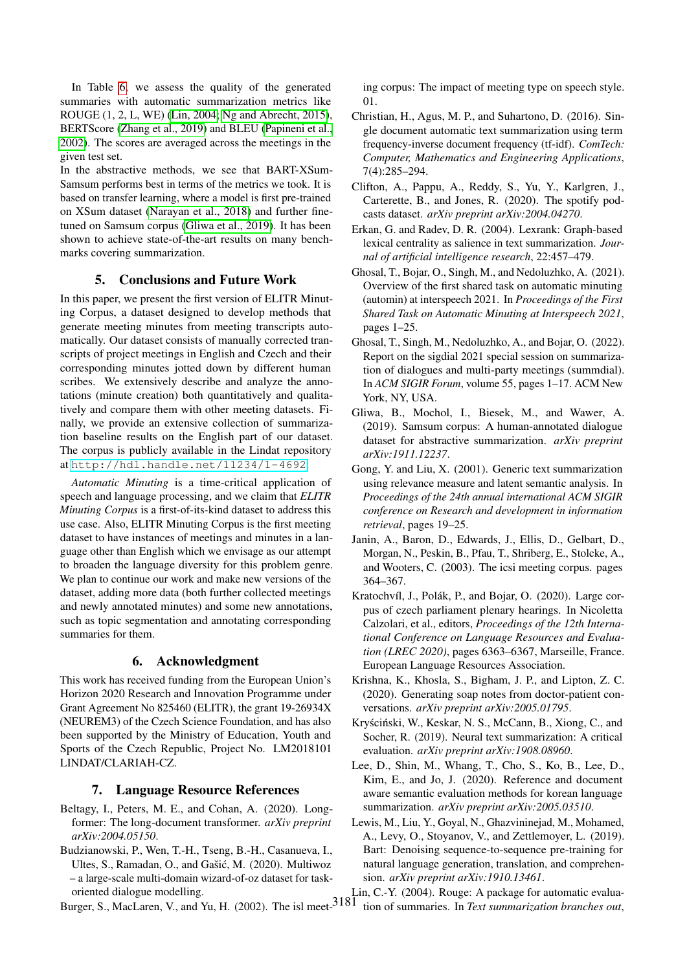In Table [6,](#page-6-0) we assess the quality of the generated summaries with automatic summarization metrics like ROUGE (1, 2, L, WE) [\(Lin, 2004;](#page-7-16) [Ng and Abrecht, 2015\)](#page-8-18), BERTScore [\(Zhang et al., 2019\)](#page-8-19) and BLEU [\(Papineni et al.,](#page-8-20) [2002\)](#page-8-20). The scores are averaged across the meetings in the given test set.

In the abstractive methods, we see that BART-XSum-Samsum performs best in terms of the metrics we took. It is based on transfer learning, where a model is first pre-trained on XSum dataset [\(Narayan et al., 2018\)](#page-8-21) and further finetuned on Samsum corpus [\(Gliwa et al., 2019\)](#page-7-3). It has been shown to achieve state-of-the-art results on many benchmarks covering summarization.

## 5. Conclusions and Future Work

In this paper, we present the first version of ELITR Minuting Corpus, a dataset designed to develop methods that generate meeting minutes from meeting transcripts automatically. Our dataset consists of manually corrected transcripts of project meetings in English and Czech and their corresponding minutes jotted down by different human scribes. We extensively describe and analyze the annotations (minute creation) both quantitatively and qualitatively and compare them with other meeting datasets. Finally, we provide an extensive collection of summarization baseline results on the English part of our dataset. The corpus is publicly available in the Lindat repository at <http://hdl.handle.net/11234/1-4692>.

*Automatic Minuting* is a time-critical application of speech and language processing, and we claim that *ELITR Minuting Corpus* is a first-of-its-kind dataset to address this use case. Also, ELITR Minuting Corpus is the first meeting dataset to have instances of meetings and minutes in a language other than English which we envisage as our attempt to broaden the language diversity for this problem genre. We plan to continue our work and make new versions of the dataset, adding more data (both further collected meetings and newly annotated minutes) and some new annotations, such as topic segmentation and annotating corresponding summaries for them.

## 6. Acknowledgment

This work has received funding from the European Union's Horizon 2020 Research and Innovation Programme under Grant Agreement No 825460 (ELITR), the grant 19-26934X (NEUREM3) of the Czech Science Foundation, and has also been supported by the Ministry of Education, Youth and Sports of the Czech Republic, Project No. LM2018101 LINDAT/CLARIAH-CZ.

## 7. Language Resource References

- <span id="page-7-12"></span>Beltagy, I., Peters, M. E., and Cohan, A. (2020). Longformer: The long-document transformer. *arXiv preprint arXiv:2004.05150*.
- <span id="page-7-5"></span>Budzianowski, P., Wen, T.-H., Tseng, B.-H., Casanueva, I., Ultes, S., Ramadan, O., and Gašic, M. (2020). Multiwoz ´ – a large-scale multi-domain wizard-of-oz dataset for taskoriented dialogue modelling.

ing corpus: The impact of meeting type on speech style. 01.

- <span id="page-7-14"></span>Christian, H., Agus, M. P., and Suhartono, D. (2016). Single document automatic text summarization using term frequency-inverse document frequency (tf-idf). *ComTech: Computer, Mathematics and Engineering Applications*, 7(4):285–294.
- <span id="page-7-6"></span>Clifton, A., Pappu, A., Reddy, S., Yu, Y., Karlgren, J., Carterette, B., and Jones, R. (2020). The spotify podcasts dataset. *arXiv preprint arXiv:2004.04270*.
- <span id="page-7-13"></span>Erkan, G. and Radev, D. R. (2004). Lexrank: Graph-based lexical centrality as salience in text summarization. *Journal of artificial intelligence research*, 22:457–479.
- <span id="page-7-2"></span>Ghosal, T., Bojar, O., Singh, M., and Nedoluzhko, A. (2021). Overview of the first shared task on automatic minuting (automin) at interspeech 2021. In *Proceedings of the First Shared Task on Automatic Minuting at Interspeech 2021*, pages 1–25.
- <span id="page-7-0"></span>Ghosal, T., Singh, M., Nedoluzhko, A., and Bojar, O. (2022). Report on the sigdial 2021 special session on summarization of dialogues and multi-party meetings (summdial). In *ACM SIGIR Forum*, volume 55, pages 1–17. ACM New York, NY, USA.
- <span id="page-7-3"></span>Gliwa, B., Mochol, I., Biesek, M., and Wawer, A. (2019). Samsum corpus: A human-annotated dialogue dataset for abstractive summarization. *arXiv preprint arXiv:1911.12237*.
- <span id="page-7-15"></span>Gong, Y. and Liu, X. (2001). Generic text summarization using relevance measure and latent semantic analysis. In *Proceedings of the 24th annual international ACM SIGIR conference on Research and development in information retrieval*, pages 19–25.
- <span id="page-7-1"></span>Janin, A., Baron, D., Edwards, J., Ellis, D., Gelbart, D., Morgan, N., Peskin, B., Pfau, T., Shriberg, E., Stolcke, A., and Wooters, C. (2003). The icsi meeting corpus. pages 364–367.
- <span id="page-7-8"></span>Kratochvíl, J., Polák, P., and Bojar, O. (2020). Large corpus of czech parliament plenary hearings. In Nicoletta Calzolari, et al., editors, *Proceedings of the 12th International Conference on Language Resources and Evaluation (LREC 2020)*, pages 6363–6367, Marseille, France. European Language Resources Association.
- <span id="page-7-4"></span>Krishna, K., Khosla, S., Bigham, J. P., and Lipton, Z. C. (2020). Generating soap notes from doctor-patient conversations. *arXiv preprint arXiv:2005.01795*.
- <span id="page-7-9"></span>Kryściński, W., Keskar, N. S., McCann, B., Xiong, C., and Socher, R. (2019). Neural text summarization: A critical evaluation. *arXiv preprint arXiv:1908.08960*.
- <span id="page-7-10"></span>Lee, D., Shin, M., Whang, T., Cho, S., Ko, B., Lee, D., Kim, E., and Jo, J. (2020). Reference and document aware semantic evaluation methods for korean language summarization. *arXiv preprint arXiv:2005.03510*.
- <span id="page-7-11"></span>Lewis, M., Liu, Y., Goyal, N., Ghazvininejad, M., Mohamed, A., Levy, O., Stoyanov, V., and Zettlemoyer, L. (2019). Bart: Denoising sequence-to-sequence pre-training for natural language generation, translation, and comprehension. *arXiv preprint arXiv:1910.13461*.

<span id="page-7-7"></span>Burger, S., MacLaren, V., and Yu, H. (2002). The isl meet-

<span id="page-7-16"></span>Lin, C.-Y. (2004). Rouge: A package for automatic evaluation of summaries. In *Text summarization branches out*,

<sup>3181</sup>